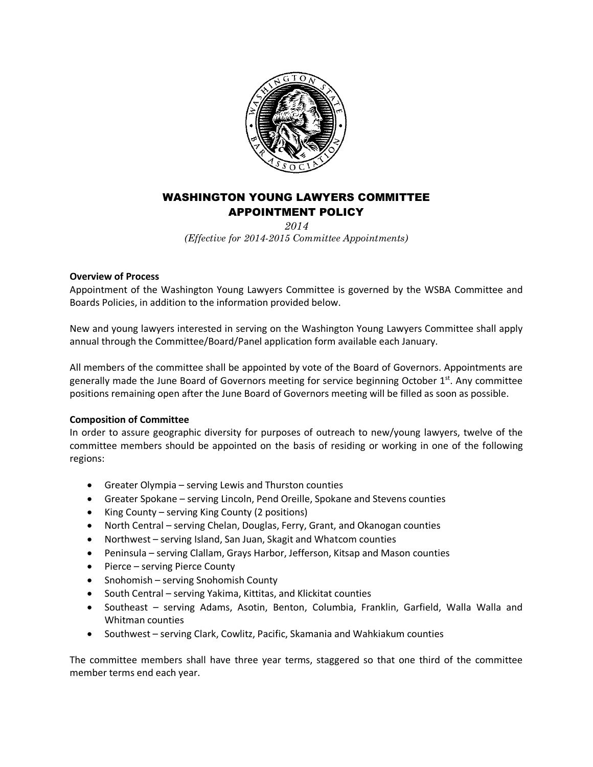

## WASHINGTON YOUNG LAWYERS COMMITTEE APPOINTMENT POLICY

*2014 (Effective for 2014-2015 Committee Appointments)*

## **Overview of Process**

Appointment of the Washington Young Lawyers Committee is governed by the WSBA Committee and Boards Policies, in addition to the information provided below.

New and young lawyers interested in serving on the Washington Young Lawyers Committee shall apply annual through the Committee/Board/Panel application form available each January.

All members of the committee shall be appointed by vote of the Board of Governors. Appointments are generally made the June Board of Governors meeting for service beginning October 1st. Any committee positions remaining open after the June Board of Governors meeting will be filled as soon as possible.

## **Composition of Committee**

In order to assure geographic diversity for purposes of outreach to new/young lawyers, twelve of the committee members should be appointed on the basis of residing or working in one of the following regions:

- Greater Olympia serving Lewis and Thurston counties
- Greater Spokane serving Lincoln, Pend Oreille, Spokane and Stevens counties
- King County serving King County (2 positions)
- North Central serving Chelan, Douglas, Ferry, Grant, and Okanogan counties
- Northwest serving Island, San Juan, Skagit and Whatcom counties
- Peninsula serving Clallam, Grays Harbor, Jefferson, Kitsap and Mason counties
- Pierce serving Pierce County
- Snohomish serving Snohomish County
- South Central serving Yakima, Kittitas, and Klickitat counties
- Southeast serving Adams, Asotin, Benton, Columbia, Franklin, Garfield, Walla Walla and Whitman counties
- Southwest serving Clark, Cowlitz, Pacific, Skamania and Wahkiakum counties

The committee members shall have three year terms, staggered so that one third of the committee member terms end each year.